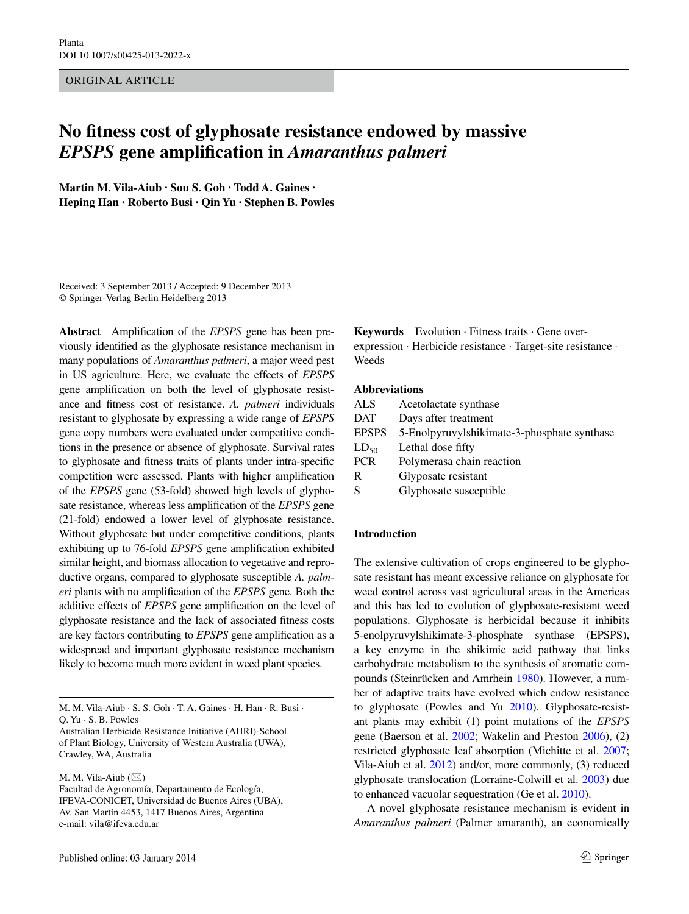Original Article

# **No fitness cost of glyphosate resistance endowed by massive**  *EPSPS* **gene amplification in** *Amaranthus palmeri*

**Martin M. Vila‑Aiub · Sou S. Goh · Todd A. Gaines · Heping Han · Roberto Busi · Qin Yu · Stephen B. Powles**

Received: 3 September 2013 / Accepted: 9 December 2013 © Springer-Verlag Berlin Heidelberg 2013

**Abstract** Amplification of the *EPSPS* gene has been previously identified as the glyphosate resistance mechanism in many populations of *Amaranthus palmeri*, a major weed pest in US agriculture. Here, we evaluate the effects of *EPSPS* gene amplification on both the level of glyphosate resistance and fitness cost of resistance. *A. palmeri* individuals resistant to glyphosate by expressing a wide range of *EPSPS* gene copy numbers were evaluated under competitive conditions in the presence or absence of glyphosate. Survival rates to glyphosate and fitness traits of plants under intra-specific competition were assessed. Plants with higher amplification of the *EPSPS* gene (53-fold) showed high levels of glyphosate resistance, whereas less amplification of the *EPSPS* gene (21-fold) endowed a lower level of glyphosate resistance. Without glyphosate but under competitive conditions, plants exhibiting up to 76-fold *EPSPS* gene amplification exhibited similar height, and biomass allocation to vegetative and reproductive organs, compared to glyphosate susceptible *A. palmeri* plants with no amplification of the *EPSPS* gene. Both the additive effects of *EPSPS* gene amplification on the level of glyphosate resistance and the lack of associated fitness costs are key factors contributing to *EPSPS* gene amplification as a widespread and important glyphosate resistance mechanism likely to become much more evident in weed plant species.

M. M. Vila-Aiub  $(\boxtimes)$ 

Facultad de Agronomía, Departamento de Ecología, IFEVA‑CONICET, Universidad de Buenos Aires (UBA), Av. San Martín 4453, 1417 Buenos Aires, Argentina e-mail: vila@ifeva.edu.ar

**Keywords** Evolution · Fitness traits · Gene overexpression · Herbicide resistance · Target-site resistance · Weeds

#### **Abbreviations**

| Acetolactate synthase                       |
|---------------------------------------------|
| Days after treatment                        |
| 5-Enolpyruvylshikimate-3-phosphate synthase |
| Lethal dose fifty                           |
| Polymerasa chain reaction                   |
| Glyposate resistant                         |
| Glyphosate susceptible                      |
|                                             |

### **Introduction**

The extensive cultivation of crops engineered to be glyphosate resistant has meant excessive reliance on glyphosate for weed control across vast agricultural areas in the Americas and this has led to evolution of glyphosate-resistant weed populations. Glyphosate is herbicidal because it inhibits 5-enolpyruvylshikimate-3-phosphate synthase (EPSPS), a key enzyme in the shikimic acid pathway that links carbohydrate metabolism to the synthesis of aromatic compounds (Steinrücken and Amrhein [1980](#page-7-0)). However, a number of adaptive traits have evolved which endow resistance to glyphosate (Powles and Yu [2010](#page-7-1)). Glyphosate-resistant plants may exhibit (1) point mutations of the *EPSPS* gene (Baerson et al. [2002;](#page-7-2) Wakelin and Preston [2006\)](#page-8-0), (2) restricted glyphosate leaf absorption (Michitte et al. [2007](#page-7-3); Vila-Aiub et al. [2012](#page-8-1)) and/or, more commonly, (3) reduced glyphosate translocation (Lorraine-Colwill et al. [2003](#page-7-4)) due to enhanced vacuolar sequestration (Ge et al. [2010\)](#page-7-5).

A novel glyphosate resistance mechanism is evident in *Amaranthus palmeri* (Palmer amaranth), an economically

M. M. Vila‑Aiub · S. S. Goh · T. A. Gaines · H. Han · R. Busi · Q. Yu · S. B. Powles

Australian Herbicide Resistance Initiative (AHRI)-School of Plant Biology, University of Western Australia (UWA), Crawley, WA, Australia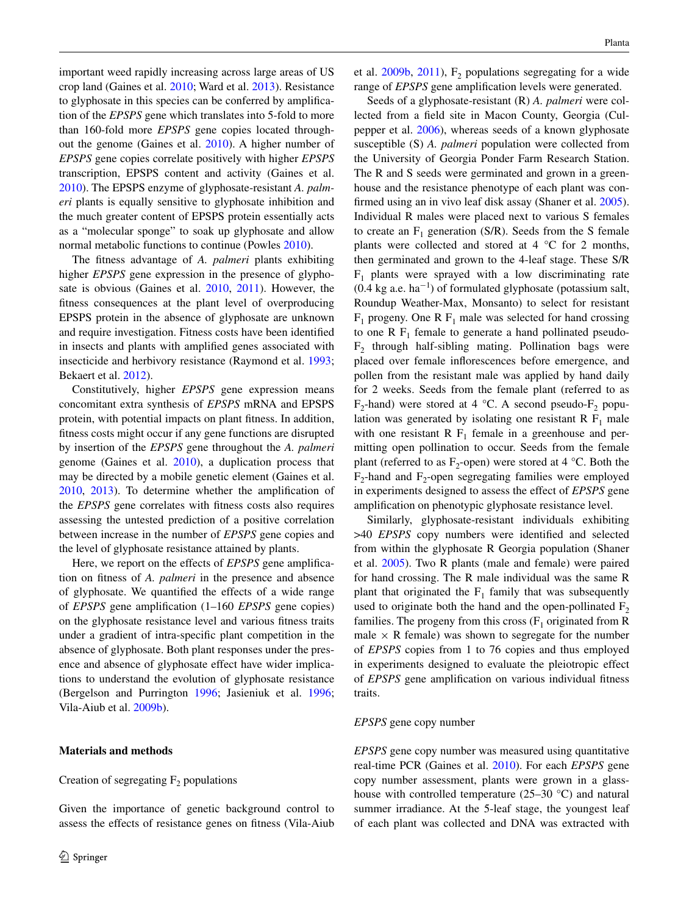important weed rapidly increasing across large areas of US crop land (Gaines et al. [2010;](#page-7-6) Ward et al. [2013\)](#page-8-2). Resistance to glyphosate in this species can be conferred by amplification of the *EPSPS* gene which translates into 5-fold to more than 160-fold more *EPSPS* gene copies located throughout the genome (Gaines et al. [2010\)](#page-7-6). A higher number of *EPSPS* gene copies correlate positively with higher *EPSPS* transcription, EPSPS content and activity (Gaines et al. [2010](#page-7-6)). The EPSPS enzyme of glyphosate-resistant *A. palmeri* plants is equally sensitive to glyphosate inhibition and the much greater content of EPSPS protein essentially acts as a "molecular sponge" to soak up glyphosate and allow normal metabolic functions to continue (Powles [2010](#page-7-7)).

The fitness advantage of *A. palmeri* plants exhibiting higher *EPSPS* gene expression in the presence of glyphosate is obvious (Gaines et al. [2010,](#page-7-6) [2011\)](#page-7-8). However, the fitness consequences at the plant level of overproducing EPSPS protein in the absence of glyphosate are unknown and require investigation. Fitness costs have been identified in insects and plants with amplified genes associated with insecticide and herbivory resistance (Raymond et al. [1993](#page-7-9); Bekaert et al. [2012\)](#page-7-10).

Constitutively, higher *EPSPS* gene expression means concomitant extra synthesis of *EPSPS* mRNA and EPSPS protein, with potential impacts on plant fitness. In addition, fitness costs might occur if any gene functions are disrupted by insertion of the *EPSPS* gene throughout the *A. palmeri* genome (Gaines et al. [2010\)](#page-7-6), a duplication process that may be directed by a mobile genetic element (Gaines et al. [2010](#page-7-6), [2013](#page-7-11)). To determine whether the amplification of the *EPSPS* gene correlates with fitness costs also requires assessing the untested prediction of a positive correlation between increase in the number of *EPSPS* gene copies and the level of glyphosate resistance attained by plants.

Here, we report on the effects of *EPSPS* gene amplification on fitness of *A. palmeri* in the presence and absence of glyphosate. We quantified the effects of a wide range of *EPSPS* gene amplification (1–160 *EPSPS* gene copies) on the glyphosate resistance level and various fitness traits under a gradient of intra-specific plant competition in the absence of glyphosate. Both plant responses under the presence and absence of glyphosate effect have wider implications to understand the evolution of glyphosate resistance (Bergelson and Purrington [1996](#page-7-12); Jasieniuk et al. [1996](#page-7-13); Vila-Aiub et al. [2009b](#page-8-3)).

# **Materials and methods**

## Creation of segregating  $F_2$  populations

Given the importance of genetic background control to assess the effects of resistance genes on fitness (Vila-Aiub

et al.  $2009b$ ,  $2011$ ),  $F<sub>2</sub>$  populations segregating for a wide range of *EPSPS* gene amplification levels were generated.

Seeds of a glyphosate-resistant (R) *A. palmeri* were collected from a field site in Macon County, Georgia (Culpepper et al. [2006\)](#page-7-14), whereas seeds of a known glyphosate susceptible (S) *A. palmeri* population were collected from the University of Georgia Ponder Farm Research Station. The R and S seeds were germinated and grown in a greenhouse and the resistance phenotype of each plant was confirmed using an in vivo leaf disk assay (Shaner et al. [2005](#page-7-15)). Individual R males were placed next to various S females to create an  $F_1$  generation (S/R). Seeds from the S female plants were collected and stored at 4 °C for 2 months, then germinated and grown to the 4-leaf stage. These S/R  $F_1$  plants were sprayed with a low discriminating rate  $(0.4 \text{ kg a.e. ha}^{-1})$  of formulated glyphosate (potassium salt, Roundup Weather-Max, Monsanto) to select for resistant  $F_1$  progeny. One R  $F_1$  male was selected for hand crossing to one R  $F_1$  female to generate a hand pollinated pseudo- $F<sub>2</sub>$  through half-sibling mating. Pollination bags were placed over female inflorescences before emergence, and pollen from the resistant male was applied by hand daily for 2 weeks. Seeds from the female plant (referred to as F<sub>2</sub>-hand) were stored at 4 °C. A second pseudo-F<sub>2</sub> population was generated by isolating one resistant R  $F_1$  male with one resistant R  $F_1$  female in a greenhouse and permitting open pollination to occur. Seeds from the female plant (referred to as  $F_2$ -open) were stored at 4 °C. Both the  $F_2$ -hand and  $F_2$ -open segregating families were employed in experiments designed to assess the effect of *EPSPS* gene amplification on phenotypic glyphosate resistance level.

Similarly, glyphosate-resistant individuals exhibiting >40 *EPSPS* copy numbers were identified and selected from within the glyphosate R Georgia population (Shaner et al. [2005](#page-7-15)). Two R plants (male and female) were paired for hand crossing. The R male individual was the same R plant that originated the  $F_1$  family that was subsequently used to originate both the hand and the open-pollinated  $F_2$ families. The progeny from this cross  $(F_1 \text{ originated from } R)$ male  $\times$  R female) was shown to segregate for the number of *EPSPS* copies from 1 to 76 copies and thus employed in experiments designed to evaluate the pleiotropic effect of *EPSPS* gene amplification on various individual fitness traits.

#### *EPSPS* gene copy number

*EPSPS* gene copy number was measured using quantitative real-time PCR (Gaines et al. [2010\)](#page-7-6). For each *EPSPS* gene copy number assessment, plants were grown in a glasshouse with controlled temperature (25–30 °C) and natural summer irradiance. At the 5-leaf stage, the youngest leaf of each plant was collected and DNA was extracted with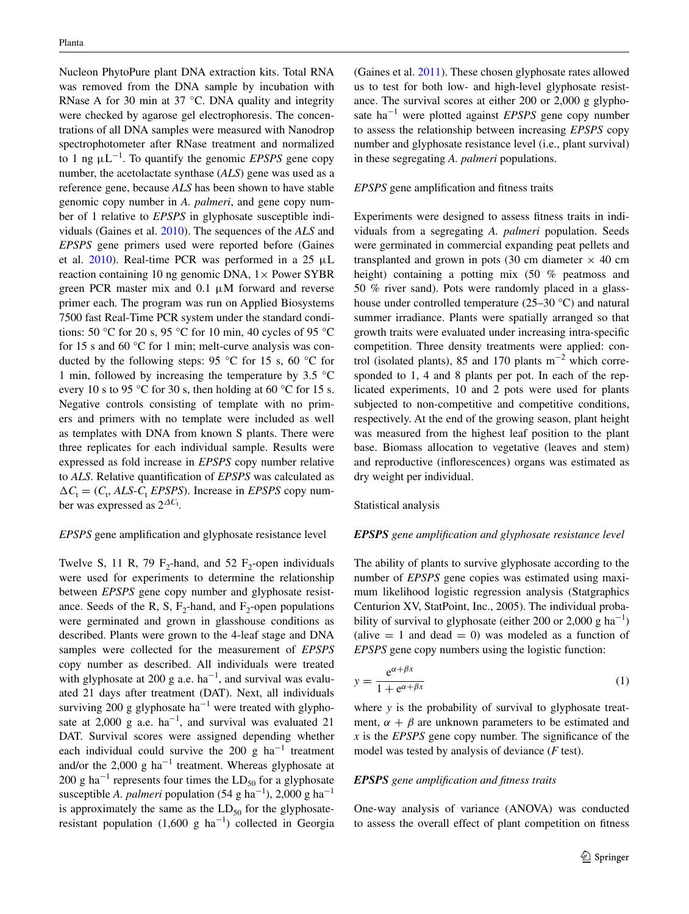Nucleon PhytoPure plant DNA extraction kits. Total RNA was removed from the DNA sample by incubation with RNase A for 30 min at 37 °C. DNA quality and integrity were checked by agarose gel electrophoresis. The concentrations of all DNA samples were measured with Nanodrop spectrophotometer after RNase treatment and normalized to 1 ng μL−<sup>1</sup> . To quantify the genomic *EPSPS* gene copy number, the acetolactate synthase (*ALS*) gene was used as a reference gene, because *ALS* has been shown to have stable genomic copy number in *A. palmeri*, and gene copy number of 1 relative to *EPSPS* in glyphosate susceptible individuals (Gaines et al. [2010](#page-7-6)). The sequences of the *ALS* and *EPSPS* gene primers used were reported before (Gaines et al.  $2010$ ). Real-time PCR was performed in a 25  $\mu$ L reaction containing 10 ng genomic DNA,  $1 \times$  Power SYBR green PCR master mix and  $0.1 \mu M$  forward and reverse primer each. The program was run on Applied Biosystems 7500 fast Real-Time PCR system under the standard conditions: 50 °C for 20 s, 95 °C for 10 min, 40 cycles of 95 °C for 15 s and 60 °C for 1 min; melt-curve analysis was conducted by the following steps: 95 °C for 15 s, 60 °C for 1 min, followed by increasing the temperature by  $3.5 \text{ °C}$ every 10 s to 95 °C for 30 s, then holding at 60 °C for 15 s. Negative controls consisting of template with no primers and primers with no template were included as well as templates with DNA from known S plants. There were three replicates for each individual sample. Results were expressed as fold increase in *EPSPS* copy number relative to *ALS*. Relative quantification of *EPSPS* was calculated as  $\Delta C_t = (C_t, ALS - C_t EPSPS)$ . Increase in *EPSPS* copy number was expressed as 2∆*C*<sup>t</sup> .

#### *EPSPS* gene amplification and glyphosate resistance level

Twelve S, 11 R, 79  $F_2$ -hand, and 52  $F_2$ -open individuals were used for experiments to determine the relationship between *EPSPS* gene copy number and glyphosate resistance. Seeds of the R, S,  $F_2$ -hand, and  $F_2$ -open populations were germinated and grown in glasshouse conditions as described. Plants were grown to the 4-leaf stage and DNA samples were collected for the measurement of *EPSPS* copy number as described. All individuals were treated with glyphosate at 200 g a.e. ha<sup>-1</sup>, and survival was evaluated 21 days after treatment (DAT). Next, all individuals surviving 200 g glyphosate ha<sup>-1</sup> were treated with glyphosate at 2,000 g a.e.  $ha^{-1}$ , and survival was evaluated 21 DAT. Survival scores were assigned depending whether each individual could survive the 200 g ha<sup>-1</sup> treatment and/or the 2,000 g ha<sup>-1</sup> treatment. Whereas glyphosate at 200 g ha<sup>-1</sup> represents four times the  $LD_{50}$  for a glyphosate susceptible *A. palmeri* population  $(54 \text{ g ha}^{-1})$ , 2,000 g ha<sup>-1</sup> is approximately the same as the  $LD_{50}$  for the glyphosateresistant population  $(1,600 \text{ g ha}^{-1})$  collected in Georgia (Gaines et al. [2011](#page-7-8)). These chosen glyphosate rates allowed us to test for both low- and high-level glyphosate resistance. The survival scores at either 200 or 2,000 g glyphosate ha−<sup>1</sup> were plotted against *EPSPS* gene copy number to assess the relationship between increasing *EPSPS* copy number and glyphosate resistance level (i.e., plant survival) in these segregating *A. palmeri* populations.

## *EPSPS* gene amplification and fitness traits

Experiments were designed to assess fitness traits in individuals from a segregating *A. palmeri* population. Seeds were germinated in commercial expanding peat pellets and transplanted and grown in pots (30 cm diameter  $\times$  40 cm height) containing a potting mix (50 % peatmoss and 50 % river sand). Pots were randomly placed in a glasshouse under controlled temperature (25–30 °C) and natural summer irradiance. Plants were spatially arranged so that growth traits were evaluated under increasing intra-specific competition. Three density treatments were applied: control (isolated plants), 85 and 170 plants  $m^{-2}$  which corresponded to 1, 4 and 8 plants per pot. In each of the replicated experiments, 10 and 2 pots were used for plants subjected to non-competitive and competitive conditions, respectively. At the end of the growing season, plant height was measured from the highest leaf position to the plant base. Biomass allocation to vegetative (leaves and stem) and reproductive (inflorescences) organs was estimated as dry weight per individual.

#### Statistical analysis

#### *EPSPS gene amplification and glyphosate resistance level*

The ability of plants to survive glyphosate according to the number of *EPSPS* gene copies was estimated using maximum likelihood logistic regression analysis (Statgraphics Centurion XV, StatPoint, Inc., 2005). The individual probability of survival to glyphosate (either 200 or 2,000 g ha<sup>-1</sup>) (alive  $= 1$  and dead  $= 0$ ) was modeled as a function of *EPSPS* gene copy numbers using the logistic function:

<span id="page-2-0"></span>
$$
y = \frac{e^{\alpha + \beta x}}{1 + e^{\alpha + \beta x}}\tag{1}
$$

where *y* is the probability of survival to glyphosate treatment,  $\alpha + \beta$  are unknown parameters to be estimated and *x* is the *EPSPS* gene copy number. The significance of the model was tested by analysis of deviance (*F* test).

## *EPSPS gene amplification and fitness traits*

One-way analysis of variance (ANOVA) was conducted to assess the overall effect of plant competition on fitness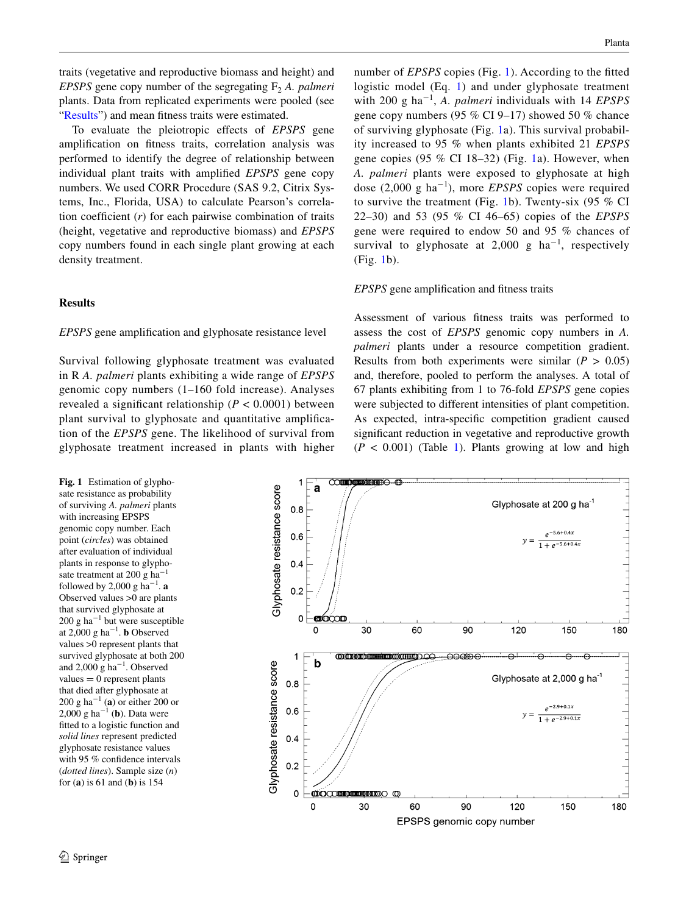traits (vegetative and reproductive biomass and height) and *EPSPS* gene copy number of the segregating  $F_2$  *A. palmeri* plants. Data from replicated experiments were pooled (see ["Results"](#page-3-0)) and mean fitness traits were estimated.

To evaluate the pleiotropic effects of *EPSPS* gene amplification on fitness traits, correlation analysis was performed to identify the degree of relationship between individual plant traits with amplified *EPSPS* gene copy numbers. We used CORR Procedure (SAS 9.2, Citrix Systems, Inc., Florida, USA) to calculate Pearson's correlation coefficient (*r*) for each pairwise combination of traits (height, vegetative and reproductive biomass) and *EPSPS* copy numbers found in each single plant growing at each density treatment.

# <span id="page-3-0"></span>**Results**

## *EPSPS* gene amplification and glyphosate resistance level

Survival following glyphosate treatment was evaluated in R *A. palmeri* plants exhibiting a wide range of *EPSPS* genomic copy numbers (1–160 fold increase). Analyses revealed a significant relationship ( $P < 0.0001$ ) between plant survival to glyphosate and quantitative amplification of the *EPSPS* gene. The likelihood of survival from glyphosate treatment increased in plants with higher

<span id="page-3-1"></span>**Fig. 1** Estimation of glyphosate resistance as probability of surviving *A. palmeri* plants with increasing EPSPS genomic copy number. Each point (*circles*) was obtained after evaluation of individual plants in response to glyphosate treatment at 200 g ha<sup>-1</sup> followed by 2,000 g ha<sup>-1</sup>. **a** Observed values >0 are plants that survived glyphosate at 200 g ha−<sup>1</sup> but were susceptible at 2,000 g ha<sup> $-1$ </sup>. **b** Observed values >0 represent plants that survived glyphosate at both 200 and 2,000 g ha<sup>-1</sup>. Observed  $values = 0$  represent plants that died after glyphosate at 200 g ha−<sup>1</sup> (**a**) or either 200 or 2,000 g ha−<sup>1</sup> (**b**). Data were fitted to a logistic function and *solid lines* represent predicted glyphosate resistance values with 95 % confidence intervals (*dotted lines*). Sample size (*n*) for (**a**) is 61 and (**b**) is 154

number of *EPSPS* copies (Fig. [1](#page-3-1)). According to the fitted logistic model (Eq. [1](#page-2-0)) and under glyphosate treatment with 200 g ha−<sup>1</sup> , *A. palmeri* individuals with 14 *EPSPS* gene copy numbers (95 % CI 9–17) showed 50 % chance of surviving glyphosate (Fig. [1](#page-3-1)a). This survival probability increased to 95 % when plants exhibited 21 *EPSPS* gene copies (95  $\%$  CI 18–32) (Fig. [1a](#page-3-1)). However, when *A. palmeri* plants were exposed to glyphosate at high dose (2,000 g ha−<sup>1</sup> ), more *EPSPS* copies were required to survive the treatment (Fig. [1b](#page-3-1)). Twenty-six (95 % CI 22–30) and 53 (95 % CI 46–65) copies of the *EPSPS* gene were required to endow 50 and 95 % chances of survival to glyphosate at  $2,000$  g ha<sup>-1</sup>, respectively (Fig. [1](#page-3-1)b).

## *EPSPS* gene amplification and fitness traits

Assessment of various fitness traits was performed to assess the cost of *EPSPS* genomic copy numbers in *A. palmeri* plants under a resource competition gradient. Results from both experiments were similar  $(P > 0.05)$ and, therefore, pooled to perform the analyses. A total of 67 plants exhibiting from 1 to 76-fold *EPSPS* gene copies were subjected to different intensities of plant competition. As expected, intra-specific competition gradient caused significant reduction in vegetative and reproductive growth  $(P < 0.001)$  $(P < 0.001)$  $(P < 0.001)$  (Table 1). Plants growing at low and high

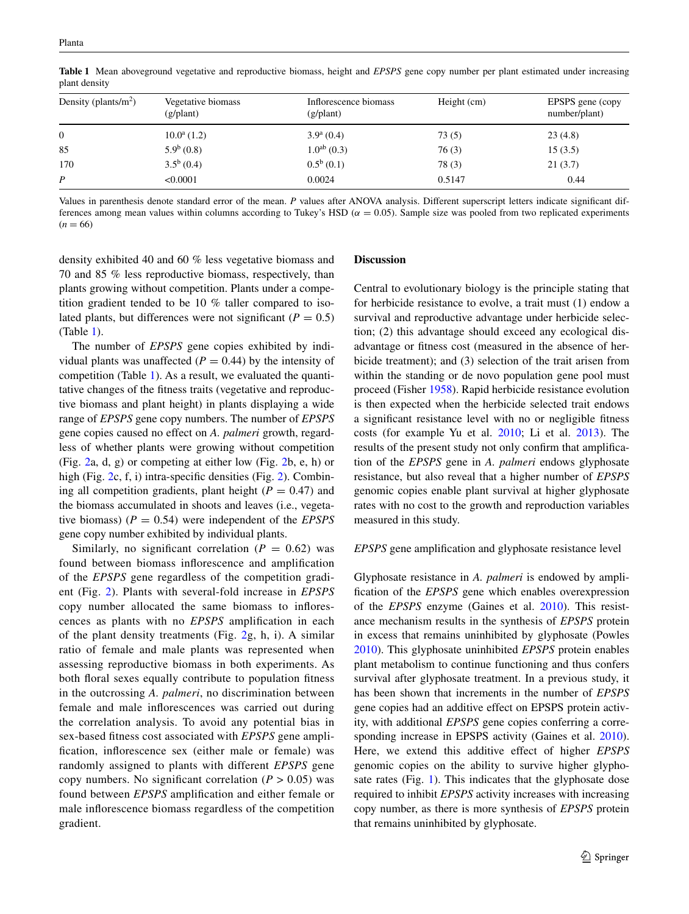| Density (plants/ $m^2$ ) | Vegetative biomass<br>(g/plant) | Inflorescence biomass<br>$(g/\text{plant})$ | Height (cm) | EPSPS gene (copy)<br>number/plant) |
|--------------------------|---------------------------------|---------------------------------------------|-------------|------------------------------------|
| $\overline{0}$           | $10.0^a(1.2)$                   | $3.9^{\rm a}$ (0.4)                         | 73(5)       | 23(4.8)                            |
| 85                       | $5.9^b(0.8)$                    | $1.0^{ab}$ (0.3)                            | 76(3)       | 15(3.5)                            |
| 170                      | $3.5^b(0.4)$                    | $0.5^b(0.1)$                                | 78(3)       | 21(3.7)                            |
| $\boldsymbol{P}$         | < 0.0001                        | 0.0024                                      | 0.5147      | 0.44                               |

<span id="page-4-0"></span>**Table 1** Mean aboveground vegetative and reproductive biomass, height and *EPSPS* gene copy number per plant estimated under increasing plant density

Values in parenthesis denote standard error of the mean. *P* values after ANOVA analysis. Different superscript letters indicate significant differences among mean values within columns according to Tukey's HSD ( $\alpha$  = 0.05). Sample size was pooled from two replicated experiments  $(n = 66)$ 

density exhibited 40 and 60 % less vegetative biomass and 70 and 85 % less reproductive biomass, respectively, than plants growing without competition. Plants under a competition gradient tended to be 10 % taller compared to isolated plants, but differences were not significant ( $P = 0.5$ ) (Table [1\)](#page-4-0).

The number of *EPSPS* gene copies exhibited by individual plants was unaffected  $(P = 0.44)$  by the intensity of competition (Table [1\)](#page-4-0). As a result, we evaluated the quantitative changes of the fitness traits (vegetative and reproductive biomass and plant height) in plants displaying a wide range of *EPSPS* gene copy numbers. The number of *EPSPS* gene copies caused no effect on *A. palmeri* growth, regardless of whether plants were growing without competition (Fig. [2](#page-5-0)a, d, g) or competing at either low (Fig. [2b](#page-5-0), e, h) or high (Fig. [2](#page-5-0)c, f, i) intra-specific densities (Fig. [2\)](#page-5-0). Combining all competition gradients, plant height  $(P = 0.47)$  and the biomass accumulated in shoots and leaves (i.e., vegetative biomass)  $(P = 0.54)$  were independent of the *EPSPS* gene copy number exhibited by individual plants.

Similarly, no significant correlation  $(P = 0.62)$  was found between biomass inflorescence and amplification of the *EPSPS* gene regardless of the competition gradient (Fig. [2](#page-5-0)). Plants with several-fold increase in *EPSPS* copy number allocated the same biomass to inflorescences as plants with no *EPSPS* amplification in each of the plant density treatments (Fig. [2g](#page-5-0), h, i). A similar ratio of female and male plants was represented when assessing reproductive biomass in both experiments. As both floral sexes equally contribute to population fitness in the outcrossing *A. palmeri*, no discrimination between female and male inflorescences was carried out during the correlation analysis. To avoid any potential bias in sex-based fitness cost associated with *EPSPS* gene amplification, inflorescence sex (either male or female) was randomly assigned to plants with different *EPSPS* gene copy numbers. No significant correlation  $(P > 0.05)$  was found between *EPSPS* amplification and either female or male inflorescence biomass regardless of the competition gradient.

## **Discussion**

Central to evolutionary biology is the principle stating that for herbicide resistance to evolve, a trait must (1) endow a survival and reproductive advantage under herbicide selection; (2) this advantage should exceed any ecological disadvantage or fitness cost (measured in the absence of herbicide treatment); and (3) selection of the trait arisen from within the standing or de novo population gene pool must proceed (Fisher [1958\)](#page-7-16). Rapid herbicide resistance evolution is then expected when the herbicide selected trait endows a significant resistance level with no or negligible fitness costs (for example Yu et al. [2010;](#page-8-5) Li et al. [2013](#page-7-17)). The results of the present study not only confirm that amplification of the *EPSPS* gene in *A. palmeri* endows glyphosate resistance, but also reveal that a higher number of *EPSPS* genomic copies enable plant survival at higher glyphosate rates with no cost to the growth and reproduction variables measured in this study.

## *EPSPS* gene amplification and glyphosate resistance level

Glyphosate resistance in *A. palmeri* is endowed by amplification of the *EPSPS* gene which enables overexpression of the *EPSPS* enzyme (Gaines et al. [2010\)](#page-7-6). This resistance mechanism results in the synthesis of *EPSPS* protein in excess that remains uninhibited by glyphosate (Powles [2010](#page-7-7)). This glyphosate uninhibited *EPSPS* protein enables plant metabolism to continue functioning and thus confers survival after glyphosate treatment. In a previous study, it has been shown that increments in the number of *EPSPS* gene copies had an additive effect on EPSPS protein activity, with additional *EPSPS* gene copies conferring a corresponding increase in EPSPS activity (Gaines et al. [2010](#page-7-6)). Here, we extend this additive effect of higher *EPSPS* genomic copies on the ability to survive higher glyphosate rates (Fig. [1](#page-3-1)). This indicates that the glyphosate dose required to inhibit *EPSPS* activity increases with increasing copy number, as there is more synthesis of *EPSPS* protein that remains uninhibited by glyphosate.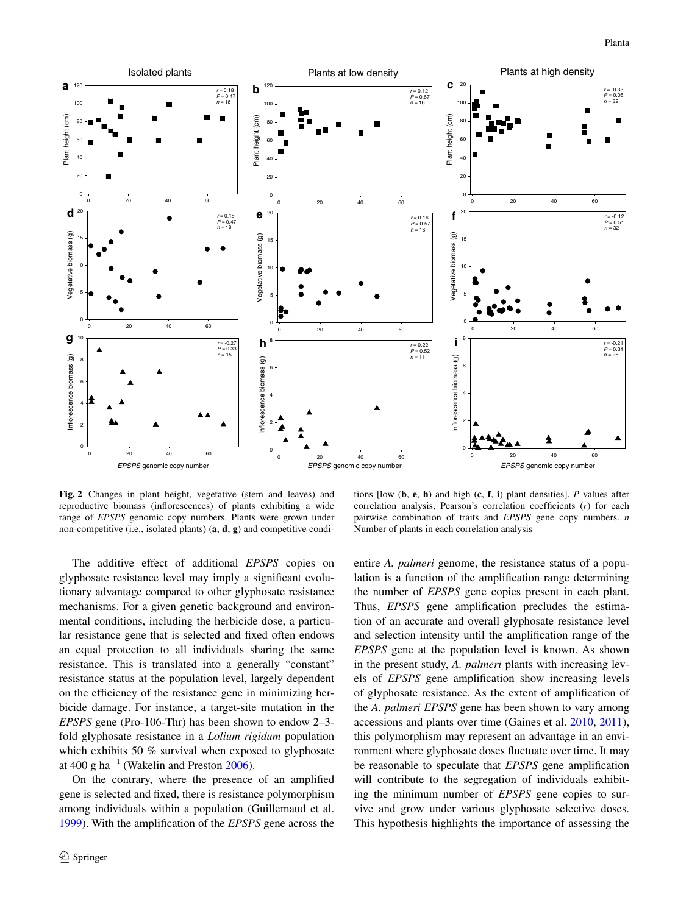

<span id="page-5-0"></span>**Fig. 2** Changes in plant height, vegetative (stem and leaves) and reproductive biomass (inflorescences) of plants exhibiting a wide range of *EPSPS* genomic copy numbers. Plants were grown under non-competitive (i.e., isolated plants) (**a**, **d**, **g**) and competitive condi-

tions [low (**b**, **e**, **h**) and high (**c**, **f**, **i**) plant densities]. *P* values after correlation analysis, Pearson's correlation coefficients (*r*) for each pairwise combination of traits and *EPSPS* gene copy numbers. *n* Number of plants in each correlation analysis

The additive effect of additional *EPSPS* copies on glyphosate resistance level may imply a significant evolutionary advantage compared to other glyphosate resistance mechanisms. For a given genetic background and environmental conditions, including the herbicide dose, a particular resistance gene that is selected and fixed often endows an equal protection to all individuals sharing the same resistance. This is translated into a generally "constant" resistance status at the population level, largely dependent on the efficiency of the resistance gene in minimizing herbicide damage. For instance, a target-site mutation in the *EPSPS* gene (Pro-106-Thr) has been shown to endow 2–3 fold glyphosate resistance in a *Lolium rigidum* population which exhibits 50 % survival when exposed to glyphosate at 400 g ha<sup> $-1$ </sup> (Wakelin and Preston [2006\)](#page-8-0).

On the contrary, where the presence of an amplified gene is selected and fixed, there is resistance polymorphism among individuals within a population (Guillemaud et al. [1999](#page-7-18)). With the amplification of the *EPSPS* gene across the entire *A. palmeri* genome, the resistance status of a population is a function of the amplification range determining the number of *EPSPS* gene copies present in each plant. Thus, *EPSPS* gene amplification precludes the estimation of an accurate and overall glyphosate resistance level and selection intensity until the amplification range of the *EPSPS* gene at the population level is known. As shown in the present study, *A. palmeri* plants with increasing levels of *EPSPS* gene amplification show increasing levels of glyphosate resistance. As the extent of amplification of the *A. palmeri EPSPS* gene has been shown to vary among accessions and plants over time (Gaines et al. [2010](#page-7-6), [2011](#page-7-8)), this polymorphism may represent an advantage in an environment where glyphosate doses fluctuate over time. It may be reasonable to speculate that *EPSPS* gene amplification will contribute to the segregation of individuals exhibiting the minimum number of *EPSPS* gene copies to survive and grow under various glyphosate selective doses. This hypothesis highlights the importance of assessing the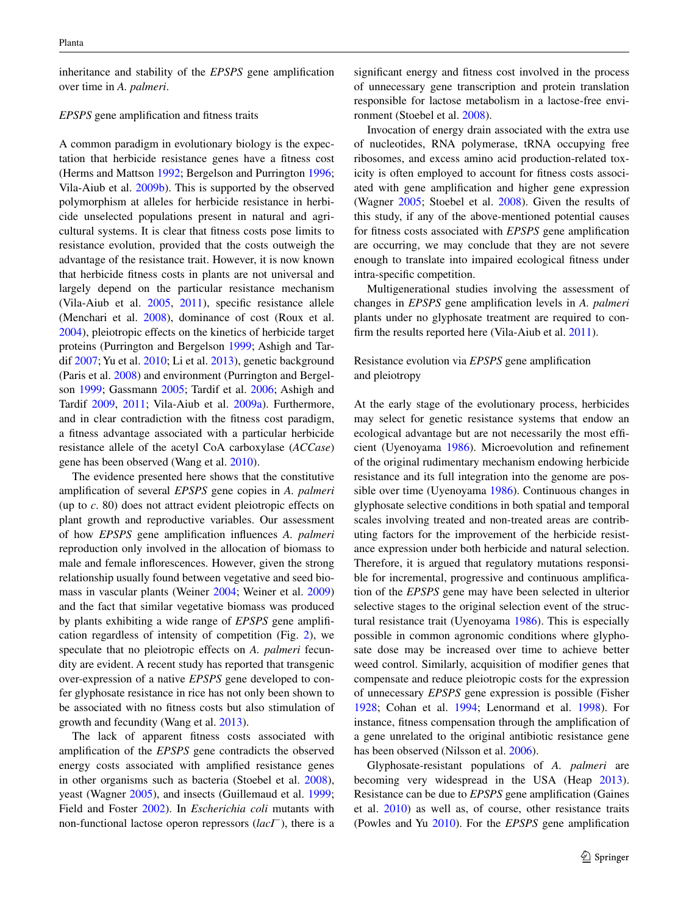inheritance and stability of the *EPSPS* gene amplification over time in *A. palmeri*.

#### *EPSPS* gene amplification and fitness traits

A common paradigm in evolutionary biology is the expectation that herbicide resistance genes have a fitness cost (Herms and Mattson [1992;](#page-7-19) Bergelson and Purrington [1996](#page-7-12); Vila-Aiub et al. [2009b](#page-8-3)). This is supported by the observed polymorphism at alleles for herbicide resistance in herbicide unselected populations present in natural and agricultural systems. It is clear that fitness costs pose limits to resistance evolution, provided that the costs outweigh the advantage of the resistance trait. However, it is now known that herbicide fitness costs in plants are not universal and largely depend on the particular resistance mechanism (Vila-Aiub et al. [2005](#page-8-6), [2011](#page-8-4)), specific resistance allele (Menchari et al. [2008](#page-7-20)), dominance of cost (Roux et al. [2004](#page-7-21)), pleiotropic effects on the kinetics of herbicide target proteins (Purrington and Bergelson [1999;](#page-7-22) Ashigh and Tardif [2007;](#page-7-23) Yu et al. [2010](#page-8-5); Li et al. [2013](#page-7-17)), genetic background (Paris et al. [2008\)](#page-7-24) and environment (Purrington and Bergelson [1999](#page-7-22); Gassmann [2005;](#page-7-25) Tardif et al. [2006;](#page-7-26) Ashigh and Tardif [2009](#page-7-27), [2011](#page-7-28); Vila-Aiub et al. [2009a\)](#page-8-7). Furthermore, and in clear contradiction with the fitness cost paradigm, a fitness advantage associated with a particular herbicide resistance allele of the acetyl CoA carboxylase (*ACCase*) gene has been observed (Wang et al. [2010\)](#page-8-8).

The evidence presented here shows that the constitutive amplification of several *EPSPS* gene copies in *A. palmeri* (up to *c*. 80) does not attract evident pleiotropic effects on plant growth and reproductive variables. Our assessment of how *EPSPS* gene amplification influences *A. palmeri* reproduction only involved in the allocation of biomass to male and female inflorescences. However, given the strong relationship usually found between vegetative and seed biomass in vascular plants (Weiner [2004](#page-8-9); Weiner et al. [2009\)](#page-8-10) and the fact that similar vegetative biomass was produced by plants exhibiting a wide range of *EPSPS* gene amplification regardless of intensity of competition (Fig. [2\)](#page-5-0), we speculate that no pleiotropic effects on *A. palmeri* fecundity are evident. A recent study has reported that transgenic over-expression of a native *EPSPS* gene developed to confer glyphosate resistance in rice has not only been shown to be associated with no fitness costs but also stimulation of growth and fecundity (Wang et al. [2013\)](#page-8-11).

The lack of apparent fitness costs associated with amplification of the *EPSPS* gene contradicts the observed energy costs associated with amplified resistance genes in other organisms such as bacteria (Stoebel et al. [2008](#page-7-29)), yeast (Wagner [2005](#page-8-12)), and insects (Guillemaud et al. [1999](#page-7-18); Field and Foster [2002\)](#page-7-30). In *Escherichia coli* mutants with non-functional lactose operon repressors (*lacI*−), there is a

significant energy and fitness cost involved in the process of unnecessary gene transcription and protein translation responsible for lactose metabolism in a lactose-free environment (Stoebel et al. [2008\)](#page-7-29).

Invocation of energy drain associated with the extra use of nucleotides, RNA polymerase, tRNA occupying free ribosomes, and excess amino acid production-related toxicity is often employed to account for fitness costs associated with gene amplification and higher gene expression (Wagner [2005;](#page-8-12) Stoebel et al. [2008\)](#page-7-29). Given the results of this study, if any of the above-mentioned potential causes for fitness costs associated with *EPSPS* gene amplification are occurring, we may conclude that they are not severe enough to translate into impaired ecological fitness under intra-specific competition.

Multigenerational studies involving the assessment of changes in *EPSPS* gene amplification levels in *A. palmeri* plants under no glyphosate treatment are required to confirm the results reported here (Vila-Aiub et al. [2011\)](#page-8-4).

# Resistance evolution via *EPSPS* gene amplification and pleiotropy

At the early stage of the evolutionary process, herbicides may select for genetic resistance systems that endow an ecological advantage but are not necessarily the most efficient (Uyenoyama [1986](#page-8-13)). Microevolution and refinement of the original rudimentary mechanism endowing herbicide resistance and its full integration into the genome are possible over time (Uyenoyama [1986\)](#page-8-13). Continuous changes in glyphosate selective conditions in both spatial and temporal scales involving treated and non-treated areas are contributing factors for the improvement of the herbicide resistance expression under both herbicide and natural selection. Therefore, it is argued that regulatory mutations responsible for incremental, progressive and continuous amplification of the *EPSPS* gene may have been selected in ulterior selective stages to the original selection event of the structural resistance trait (Uyenoyama [1986](#page-8-13)). This is especially possible in common agronomic conditions where glyphosate dose may be increased over time to achieve better weed control. Similarly, acquisition of modifier genes that compensate and reduce pleiotropic costs for the expression of unnecessary *EPSPS* gene expression is possible (Fisher [1928](#page-7-31); Cohan et al. [1994;](#page-7-32) Lenormand et al. [1998](#page-7-33)). For instance, fitness compensation through the amplification of a gene unrelated to the original antibiotic resistance gene has been observed (Nilsson et al. [2006](#page-7-34)).

Glyphosate-resistant populations of *A. palmeri* are becoming very widespread in the USA (Heap [2013](#page-7-35)). Resistance can be due to *EPSPS* gene amplification (Gaines et al. [2010](#page-7-6)) as well as, of course, other resistance traits (Powles and Yu [2010\)](#page-7-1). For the *EPSPS* gene amplification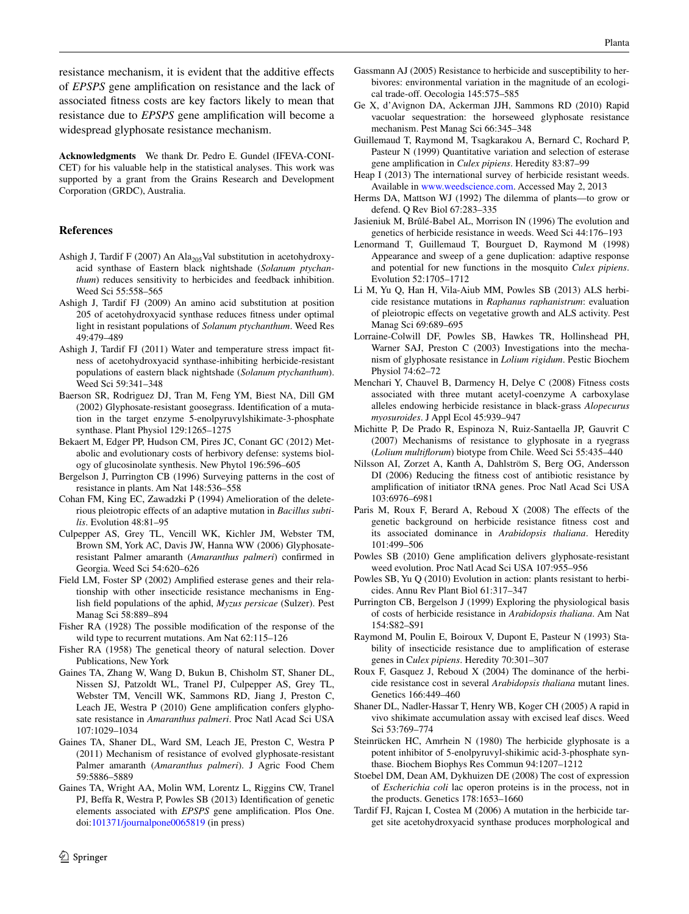resistance mechanism, it is evident that the additive effects of *EPSPS* gene amplification on resistance and the lack of associated fitness costs are key factors likely to mean that resistance due to *EPSPS* gene amplification will become a widespread glyphosate resistance mechanism.

**Acknowledgments** We thank Dr. Pedro E. Gundel (IFEVA-CONI-CET) for his valuable help in the statistical analyses. This work was supported by a grant from the Grains Research and Development Corporation (GRDC), Australia.

#### **References**

- <span id="page-7-23"></span>Ashigh J, Tardif F (2007) An  $\text{Ala}_{205}$ Val substitution in acetohydroxyacid synthase of Eastern black nightshade (*Solanum ptychanthum*) reduces sensitivity to herbicides and feedback inhibition. Weed Sci 55:558–565
- <span id="page-7-27"></span>Ashigh J, Tardif FJ (2009) An amino acid substitution at position 205 of acetohydroxyacid synthase reduces fitness under optimal light in resistant populations of *Solanum ptychanthum*. Weed Res 49:479–489
- <span id="page-7-28"></span>Ashigh J, Tardif FJ (2011) Water and temperature stress impact fitness of acetohydroxyacid synthase-inhibiting herbicide-resistant populations of eastern black nightshade (*Solanum ptychanthum*). Weed Sci 59:341–348
- <span id="page-7-2"></span>Baerson SR, Rodriguez DJ, Tran M, Feng YM, Biest NA, Dill GM (2002) Glyphosate-resistant goosegrass. Identification of a mutation in the target enzyme 5-enolpyruvylshikimate-3-phosphate synthase. Plant Physiol 129:1265–1275
- <span id="page-7-10"></span>Bekaert M, Edger PP, Hudson CM, Pires JC, Conant GC (2012) Metabolic and evolutionary costs of herbivory defense: systems biology of glucosinolate synthesis. New Phytol 196:596–605
- <span id="page-7-12"></span>Bergelson J, Purrington CB (1996) Surveying patterns in the cost of resistance in plants. Am Nat 148:536–558
- <span id="page-7-32"></span>Cohan FM, King EC, Zawadzki P (1994) Amelioration of the deleterious pleiotropic effects of an adaptive mutation in *Bacillus subtilis*. Evolution 48:81–95
- <span id="page-7-14"></span>Culpepper AS, Grey TL, Vencill WK, Kichler JM, Webster TM, Brown SM, York AC, Davis JW, Hanna WW (2006) Glyphosateresistant Palmer amaranth (*Amaranthus palmeri*) confirmed in Georgia. Weed Sci 54:620–626
- <span id="page-7-30"></span>Field LM, Foster SP (2002) Amplified esterase genes and their relationship with other insecticide resistance mechanisms in English field populations of the aphid, *Myzus persicae* (Sulzer). Pest Manag Sci 58:889–894
- <span id="page-7-31"></span>Fisher RA (1928) The possible modification of the response of the wild type to recurrent mutations. Am Nat 62:115–126
- <span id="page-7-16"></span>Fisher RA (1958) The genetical theory of natural selection. Dover Publications, New York
- <span id="page-7-6"></span>Gaines TA, Zhang W, Wang D, Bukun B, Chisholm ST, Shaner DL, Nissen SJ, Patzoldt WL, Tranel PJ, Culpepper AS, Grey TL, Webster TM, Vencill WK, Sammons RD, Jiang J, Preston C, Leach JE, Westra P (2010) Gene amplification confers glyphosate resistance in *Amaranthus palmeri*. Proc Natl Acad Sci USA 107:1029–1034
- <span id="page-7-8"></span>Gaines TA, Shaner DL, Ward SM, Leach JE, Preston C, Westra P (2011) Mechanism of resistance of evolved glyphosate-resistant Palmer amaranth (*Amaranthus palmeri*). J Agric Food Chem 59:5886–5889
- <span id="page-7-11"></span>Gaines TA, Wright AA, Molin WM, Lorentz L, Riggins CW, Tranel PJ, Beffa R, Westra P, Powles SB (2013) Identification of genetic elements associated with *EPSPS* gene amplification. Plos One. doi[:101371/journalpone0065819](http://dx.doi.org/101371/journalpone0065819) (in press)
- <span id="page-7-25"></span>Gassmann AJ (2005) Resistance to herbicide and susceptibility to herbivores: environmental variation in the magnitude of an ecological trade-off. Oecologia 145:575–585
- <span id="page-7-5"></span>Ge X, d'Avignon DA, Ackerman JJH, Sammons RD (2010) Rapid vacuolar sequestration: the horseweed glyphosate resistance mechanism. Pest Manag Sci 66:345–348
- <span id="page-7-18"></span>Guillemaud T, Raymond M, Tsagkarakou A, Bernard C, Rochard P, Pasteur N (1999) Quantitative variation and selection of esterase gene amplification in *Culex pipiens*. Heredity 83:87–99
- <span id="page-7-35"></span>Heap I (2013) The international survey of herbicide resistant weeds. Available in [www.weedscience.com.](http://www.weedscience.com) Accessed May 2, 2013
- <span id="page-7-19"></span>Herms DA, Mattson WJ (1992) The dilemma of plants—to grow or defend. Q Rev Biol 67:283–335
- <span id="page-7-13"></span>Jasieniuk M, Brûlé-Babel AL, Morrison IN (1996) The evolution and genetics of herbicide resistance in weeds. Weed Sci 44:176–193
- <span id="page-7-33"></span>Lenormand T, Guillemaud T, Bourguet D, Raymond M (1998) Appearance and sweep of a gene duplication: adaptive response and potential for new functions in the mosquito *Culex pipiens*. Evolution 52:1705–1712
- <span id="page-7-17"></span>Li M, Yu Q, Han H, Vila-Aiub MM, Powles SB (2013) ALS herbicide resistance mutations in *Raphanus raphanistrum*: evaluation of pleiotropic effects on vegetative growth and ALS activity. Pest Manag Sci 69:689–695
- <span id="page-7-4"></span>Lorraine-Colwill DF, Powles SB, Hawkes TR, Hollinshead PH, Warner SAJ, Preston C (2003) Investigations into the mechanism of glyphosate resistance in *Lolium rigidum*. Pestic Biochem Physiol 74:62–72
- <span id="page-7-20"></span>Menchari Y, Chauvel B, Darmency H, Delye C (2008) Fitness costs associated with three mutant acetyl-coenzyme A carboxylase alleles endowing herbicide resistance in black-grass *Alopecurus myosuroides*. J Appl Ecol 45:939–947
- <span id="page-7-3"></span>Michitte P, De Prado R, Espinoza N, Ruiz-Santaella JP, Gauvrit C (2007) Mechanisms of resistance to glyphosate in a ryegrass (*Lolium multiflorum*) biotype from Chile. Weed Sci 55:435–440
- <span id="page-7-34"></span>Nilsson AI, Zorzet A, Kanth A, Dahlström S, Berg OG, Andersson DI (2006) Reducing the fitness cost of antibiotic resistance by amplification of initiator tRNA genes. Proc Natl Acad Sci USA 103:6976–6981
- <span id="page-7-24"></span>Paris M, Roux F, Berard A, Reboud X (2008) The effects of the genetic background on herbicide resistance fitness cost and its associated dominance in *Arabidopsis thaliana*. Heredity 101:499–506
- <span id="page-7-7"></span>Powles SB (2010) Gene amplification delivers glyphosate-resistant weed evolution. Proc Natl Acad Sci USA 107:955–956
- <span id="page-7-1"></span>Powles SB, Yu Q (2010) Evolution in action: plants resistant to herbicides. Annu Rev Plant Biol 61:317–347
- <span id="page-7-22"></span>Purrington CB, Bergelson J (1999) Exploring the physiological basis of costs of herbicide resistance in *Arabidopsis thaliana*. Am Nat 154:S82–S91
- <span id="page-7-9"></span>Raymond M, Poulin E, Boiroux V, Dupont E, Pasteur N (1993) Stability of insecticide resistance due to amplification of esterase genes in C*ulex pipiens*. Heredity 70:301–307
- <span id="page-7-21"></span>Roux F, Gasquez J, Reboud X (2004) The dominance of the herbicide resistance cost in several *Arabidopsis thaliana* mutant lines. Genetics 166:449–460
- <span id="page-7-15"></span>Shaner DL, Nadler-Hassar T, Henry WB, Koger CH (2005) A rapid in vivo shikimate accumulation assay with excised leaf discs. Weed Sci 53:769–774
- <span id="page-7-0"></span>Steinrücken HC, Amrhein N (1980) The herbicide glyphosate is a potent inhibitor of 5-enolpyruvyl-shikimic acid-3-phosphate synthase. Biochem Biophys Res Commun 94:1207–1212
- <span id="page-7-29"></span>Stoebel DM, Dean AM, Dykhuizen DE (2008) The cost of expression of *Escherichia coli* lac operon proteins is in the process, not in the products. Genetics 178:1653–1660
- <span id="page-7-26"></span>Tardif FJ, Rajcan I, Costea M (2006) A mutation in the herbicide target site acetohydroxyacid synthase produces morphological and